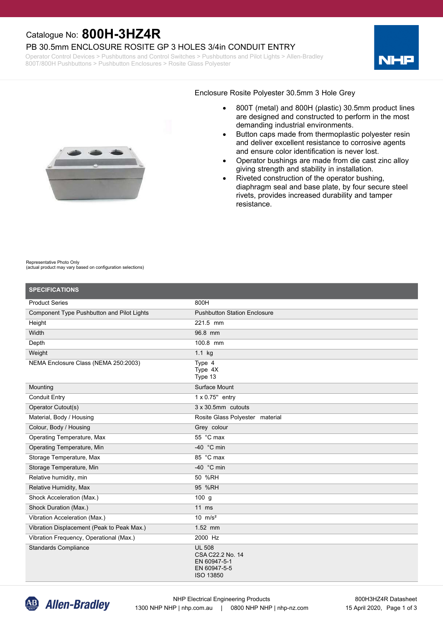## Catalogue No: **800H-3HZ4R**

#### PB 30.5mm ENCLOSURE ROSITE GP 3 HOLES 3/4in CONDUIT ENTRY

Operator Control Devices > Pushbuttons and Control Switches > Pushbuttons and Pilot Lights > Allen-Bradley 800T/800H Pushbuttons > Pushbutton Enclosures > Rosite Glass Polyester





#### Enclosure Rosite Polyester 30.5mm 3 Hole Grey

- · 800T (metal) and 800H (plastic) 30.5mm product lines are designed and constructed to perform in the most demanding industrial environments.
- · Button caps made from thermoplastic polyester resin and deliver excellent resistance to corrosive agents and ensure color identification is never lost.
- · Operator bushings are made from die cast zinc alloy giving strength and stability in installation.
- Riveted construction of the operator bushing, diaphragm seal and base plate, by four secure steel rivets, provides increased durability and tamper resistance.

#### Representative Photo Only

(actual product may vary based on configuration selections)

| <b>SPECIFICATIONS</b>                      |                                                                                |
|--------------------------------------------|--------------------------------------------------------------------------------|
| <b>Product Series</b>                      | 800H                                                                           |
| Component Type Pushbutton and Pilot Lights | <b>Pushbutton Station Enclosure</b>                                            |
| Height                                     | 221.5 mm                                                                       |
| Width                                      | 96.8 mm                                                                        |
| Depth                                      | 100.8 mm                                                                       |
| Weight                                     | 1.1 kg                                                                         |
| NEMA Enclosure Class (NEMA 250:2003)       | Type 4<br>Type 4X<br>Type 13                                                   |
| Mounting                                   | Surface Mount                                                                  |
| <b>Conduit Entry</b>                       | $1 \times 0.75$ " entry                                                        |
| Operator Cutout(s)                         | $3 \times 30.5$ mm cutouts                                                     |
| Material, Body / Housing                   | Rosite Glass Polyester material                                                |
| Colour, Body / Housing                     | Grey colour                                                                    |
| Operating Temperature, Max                 | 55 °C max                                                                      |
| Operating Temperature, Min                 | -40 $\degree$ C min                                                            |
| Storage Temperature, Max                   | 85 °C max                                                                      |
| Storage Temperature, Min                   | -40 $\degree$ C min                                                            |
| Relative humidity, min                     | 50 %RH                                                                         |
| Relative Humidity, Max                     | 95 %RH                                                                         |
| Shock Acceleration (Max.)                  | $100$ g                                                                        |
| Shock Duration (Max.)                      | $11$ ms                                                                        |
| Vibration Acceleration (Max.)              | 10 $m/s^2$                                                                     |
| Vibration Displacement (Peak to Peak Max.) | 1.52 mm                                                                        |
| Vibration Frequency, Operational (Max.)    | 2000 Hz                                                                        |
| <b>Standards Compliance</b>                | <b>UL 508</b><br>CSA C22.2 No. 14<br>EN 60947-5-1<br>EN 60947-5-5<br>ISO 13850 |

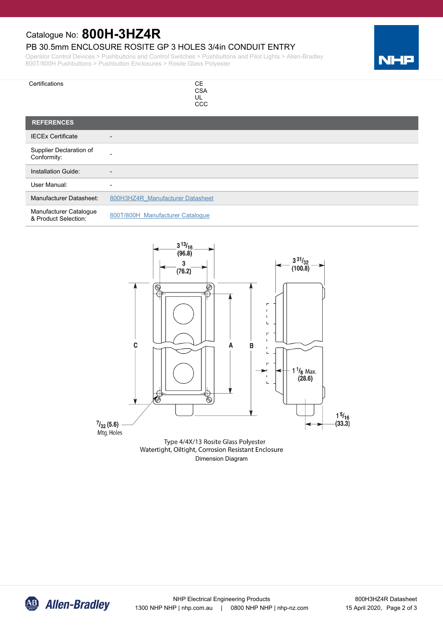## Catalogue No: **800H-3HZ4R**

### PB 30.5mm ENCLOSURE ROSITE GP 3 HOLES 3/4in CONDUIT ENTRY

Operator Control Devices > Pushbuttons and Control Switches > Pushbuttons and Pilot Lights > Allen-Bradley 800T/800H Pushbuttons > Pushbutton Enclosures > Rosite Glass Polyester

| Certifications                                 | <b>CE</b><br><b>CSA</b><br>UL<br><b>CCC</b> |
|------------------------------------------------|---------------------------------------------|
| <b>REFERENCES</b>                              |                                             |
| <b>IECEx Certificate</b>                       | -                                           |
| Supplier Declaration of<br>Conformity:         | -                                           |
| <b>Installation Guide:</b>                     | $\overline{\phantom{0}}$                    |
| User Manual:                                   | ۰                                           |
| <b>Manufacturer Datasheet:</b>                 | 800H3HZ4R Manufacturer Datasheet            |
| Manufacturer Catalogue<br>& Product Selection: | 800T/800H Manufacturer Catalogue            |



Watertight, Oiltight, Corrosion Resistant Enclosure Dimension Diagram



NH